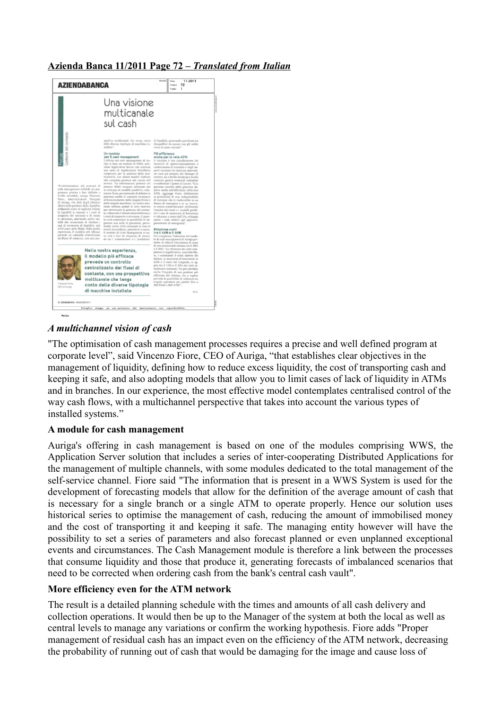### **Azienda Banca 11/2011 Page 72 –** *Translated from Italian*



## *A multichannel vision of cash*

"The optimisation of cash management processes requires a precise and well defined program at corporate level", said Vincenzo Fiore, CEO of Auriga, "that establishes clear objectives in the management of liquidity, defining how to reduce excess liquidity, the cost of transporting cash and keeping it safe, and also adopting models that allow you to limit cases of lack of liquidity in ATMs and in branches. In our experience, the most effective model contemplates centralised control of the way cash flows, with a multichannel perspective that takes into account the various types of installed systems."

#### **A module for cash management**

Auriga's offering in cash management is based on one of the modules comprising WWS, the Application Server solution that includes a series of inter-cooperating Distributed Applications for the management of multiple channels, with some modules dedicated to the total management of the self-service channel. Fiore said "The information that is present in a WWS System is used for the development of forecasting models that allow for the definition of the average amount of cash that is necessary for a single branch or a single ATM to operate properly. Hence our solution uses historical series to optimise the management of cash, reducing the amount of immobilised money and the cost of transporting it and keeping it safe. The managing entity however will have the possibility to set a series of parameters and also forecast planned or even unplanned exceptional events and circumstances. The Cash Management module is therefore a link between the processes that consume liquidity and those that produce it, generating forecasts of imbalanced scenarios that need to be corrected when ordering cash from the bank's central cash vault".

#### **More efficiency even for the ATM network**

The result is a detailed planning schedule with the times and amounts of all cash delivery and collection operations. It would then be up to the Manager of the system at both the local as well as central levels to manage any variations or confirm the working hypothesis. Fiore adds "Proper management of residual cash has an impact even on the efficiency of the ATM network, decreasing the probability of running out of cash that would be damaging for the image and cause loss of